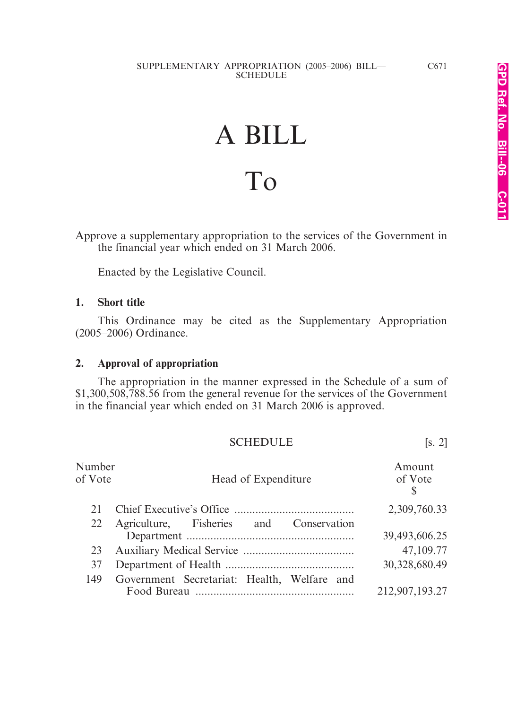# A BILL To

Approve a supplementary appropriation to the services of the Government in the financial year which ended on 31 March 2006.

Enacted by the Legislative Council.

### **1. Short title**

This Ordinance may be cited as the Supplementary Appropriation (2005–2006) Ordinance.

### **2. Approval of appropriation**

The appropriation in the manner expressed in the Schedule of a sum of \$1,300,508,788.56 from the general revenue for the services of the Government in the financial year which ended on 31 March 2006 is approved.

### SCHEDULE [s. 2]

| Number<br>of Vote | Head of Expenditure                         | Amount<br>of Vote<br><sup>S</sup> |
|-------------------|---------------------------------------------|-----------------------------------|
| 21                |                                             | 2,309,760.33                      |
|                   | 22 Agriculture, Fisheries and Conservation  |                                   |
|                   |                                             | 39,493,606.25                     |
| 23                |                                             | 47,109.77                         |
| 37                |                                             | 30,328,680.49                     |
| 149               | Government Secretariat: Health, Welfare and |                                   |
|                   |                                             | 212,907,193.27                    |